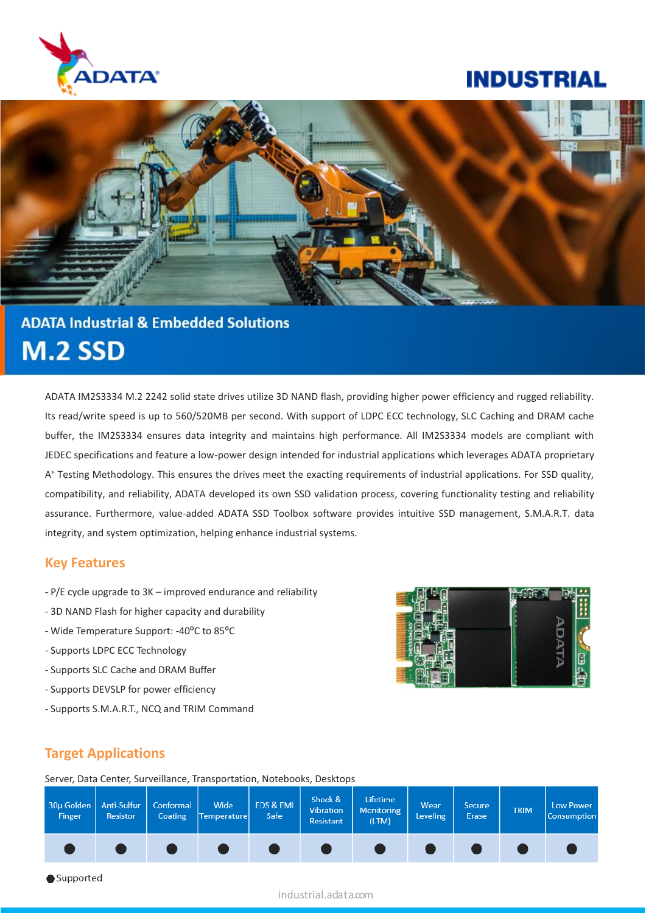

# **INDUSTRIAL**



# **ADATA Industrial & Embedded Solutions M.2 SSD**

ADATA IM2S3334 M.2 2242 solid state drives utilize 3D NAND flash, providing higher power efficiency and rugged reliability. Its read/write speed is up to 560/520MB per second. With support of LDPC ECC technology, SLC Caching and DRAM cache buffer, the IM2S3334 ensures data integrity and maintains high performance. All IM2S3334 models are compliant with JEDEC specifications and feature a low-power design intended for industrial applications which leverages ADATA proprietary A <sup>+</sup> Testing Methodology. This ensures the drives meet the exacting requirements of industrial applications. For SSD quality, compatibility, and reliability, ADATA developed its own SSD validation process, covering functionality testing and reliability assurance. Furthermore, value-added ADATA SSD Toolbox software provides intuitive SSD management, S.M.A.R.T. data integrity, and system optimization, helping enhance industrial systems.

### **Key Features**

- P/E cycle upgrade to 3K improved endurance and reliability
- 3D NAND Flash for higher capacity and durability
- Wide Temperature Support: -40ºC to 85ºC
- Supports LDPC ECC Technology
- Supports SLC Cache and DRAM Buffer
- Supports DEVSLP for power efficiency
- Supports S.M.A.R.T., NCQ and TRIM Command



## **Target Applications**

Server, Data Center, Surveillance, Transportation, Notebooks, Desktops



#### industrial.adata.com